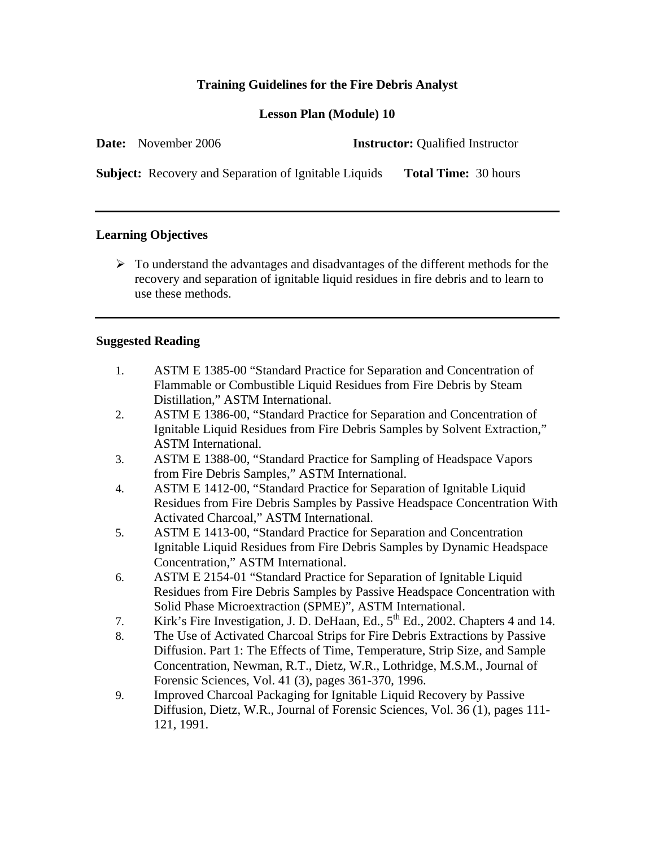# **Training Guidelines for the Fire Debris Analyst**

## **Lesson Plan (Module) 10**

| <b>Date:</b> November 2006 | <b>Instructor:</b> Qualified Instructor |
|----------------------------|-----------------------------------------|
|                            |                                         |

**Subject:** Recovery and Separation of Ignitable Liquids **Total Time:** 30 hours

### **Learning Objectives**

 $\triangleright$  To understand the advantages and disadvantages of the different methods for the recovery and separation of ignitable liquid residues in fire debris and to learn to use these methods.

### **Suggested Reading**

- 1. ASTM E 1385-00 "Standard Practice for Separation and Concentration of Flammable or Combustible Liquid Residues from Fire Debris by Steam Distillation," ASTM International.
- 2. ASTM E 1386-00, "Standard Practice for Separation and Concentration of Ignitable Liquid Residues from Fire Debris Samples by Solvent Extraction," ASTM International.
- 3. ASTM E 1388-00, "Standard Practice for Sampling of Headspace Vapors from Fire Debris Samples," ASTM International.
- 4. ASTM E 1412-00, "Standard Practice for Separation of Ignitable Liquid Residues from Fire Debris Samples by Passive Headspace Concentration With Activated Charcoal," ASTM International.
- 5. ASTM E 1413-00, "Standard Practice for Separation and Concentration Ignitable Liquid Residues from Fire Debris Samples by Dynamic Headspace Concentration," ASTM International.
- 6. ASTM E 2154-01 "Standard Practice for Separation of Ignitable Liquid Residues from Fire Debris Samples by Passive Headspace Concentration with Solid Phase Microextraction (SPME)", ASTM International.
- 7. Kirk's Fire Investigation, J. D. DeHaan, Ed., 5<sup>th</sup> Ed., 2002. Chapters 4 and 14.
- 8. The Use of Activated Charcoal Strips for Fire Debris Extractions by Passive Diffusion. Part 1: The Effects of Time, Temperature, Strip Size, and Sample Concentration, Newman, R.T., Dietz, W.R., Lothridge, M.S.M., Journal of Forensic Sciences, Vol. 41 (3), pages 361-370, 1996.
- 9. Improved Charcoal Packaging for Ignitable Liquid Recovery by Passive Diffusion, Dietz, W.R., Journal of Forensic Sciences, Vol. 36 (1), pages 111- 121, 1991.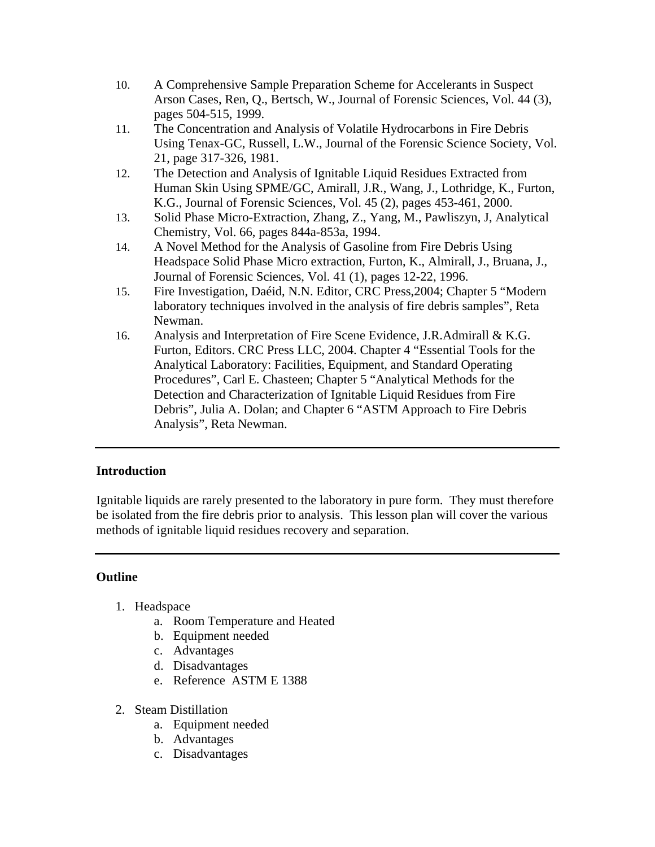- 10. A Comprehensive Sample Preparation Scheme for Accelerants in Suspect Arson Cases, Ren, Q., Bertsch, W., Journal of Forensic Sciences, Vol. 44 (3), pages 504-515, 1999.
- 11. The Concentration and Analysis of Volatile Hydrocarbons in Fire Debris Using Tenax-GC, Russell, L.W., Journal of the Forensic Science Society, Vol. 21, page 317-326, 1981.
- 12. The Detection and Analysis of Ignitable Liquid Residues Extracted from Human Skin Using SPME/GC, Amirall, J.R., Wang, J., Lothridge, K., Furton, K.G., Journal of Forensic Sciences, Vol. 45 (2), pages 453-461, 2000.
- 13. Solid Phase Micro-Extraction, Zhang, Z., Yang, M., Pawliszyn, J, Analytical Chemistry, Vol. 66, pages 844a-853a, 1994.
- 14. A Novel Method for the Analysis of Gasoline from Fire Debris Using Headspace Solid Phase Micro extraction, Furton, K., Almirall, J., Bruana, J., Journal of Forensic Sciences, Vol. 41 (1), pages 12-22, 1996.
- 15. Fire Investigation, Daéid, N.N. Editor, CRC Press,2004; Chapter 5 "Modern laboratory techniques involved in the analysis of fire debris samples", Reta Newman.
- 16. Analysis and Interpretation of Fire Scene Evidence, J.R.Admirall & K.G. Furton, Editors. CRC Press LLC, 2004. Chapter 4 "Essential Tools for the Analytical Laboratory: Facilities, Equipment, and Standard Operating Procedures", Carl E. Chasteen; Chapter 5 "Analytical Methods for the Detection and Characterization of Ignitable Liquid Residues from Fire Debris", Julia A. Dolan; and Chapter 6 "ASTM Approach to Fire Debris Analysis", Reta Newman.

# **Introduction**

Ignitable liquids are rarely presented to the laboratory in pure form. They must therefore be isolated from the fire debris prior to analysis. This lesson plan will cover the various methods of ignitable liquid residues recovery and separation.

# **Outline**

- 1. Headspace
	- a. Room Temperature and Heated
	- b. Equipment needed
	- c. Advantages
	- d. Disadvantages
	- e. Reference ASTM E 1388
- 2. Steam Distillation
	- a. Equipment needed
	- b. Advantages
	- c. Disadvantages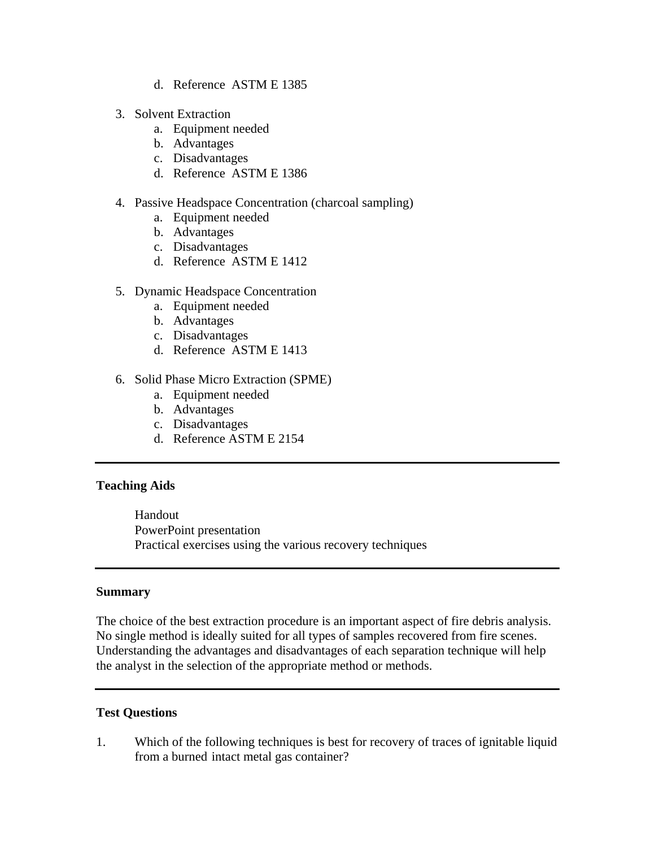- d. Reference ASTM E 1385
- 3. Solvent Extraction
	- a. Equipment needed
	- b. Advantages
	- c. Disadvantages
	- d. Reference ASTM E 1386
- 4. Passive Headspace Concentration (charcoal sampling)
	- a. Equipment needed
	- b. Advantages
	- c. Disadvantages
	- d. Reference ASTM E 1412
- 5. Dynamic Headspace Concentration
	- a. Equipment needed
	- b. Advantages
	- c. Disadvantages
	- d. Reference ASTM E 1413
- 6. Solid Phase Micro Extraction (SPME)
	- a. Equipment needed
	- b. Advantages
	- c. Disadvantages
	- d. Reference ASTM E 2154

#### **Teaching Aids**

 Handout PowerPoint presentation Practical exercises using the various recovery techniques

#### **Summary**

The choice of the best extraction procedure is an important aspect of fire debris analysis. No single method is ideally suited for all types of samples recovered from fire scenes. Understanding the advantages and disadvantages of each separation technique will help the analyst in the selection of the appropriate method or methods.

#### **Test Questions**

1. Which of the following techniques is best for recovery of traces of ignitable liquid from a burned intact metal gas container?